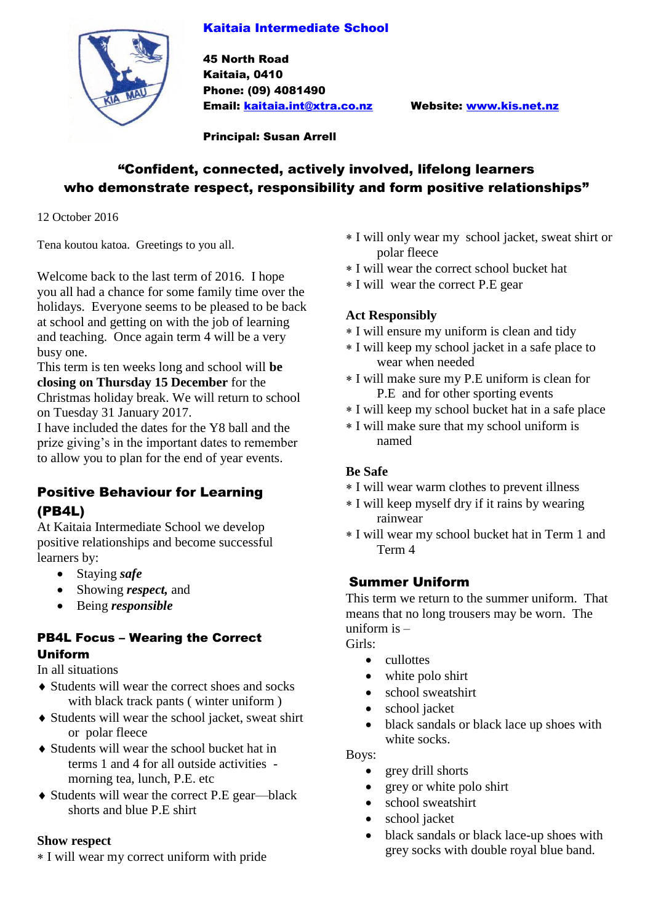## Kaitaia Intermediate School



45 North Road Kaitaia, 0410 Phone: (09) 4081490 Email: [kaitaia.int@xtra.co.nz](mailto:kaitaia.int@xtra.co.nz) Website: [www.kis.net.nz](http://www.kis.net.nz/)

Principal: Susan Arrell

# "Confident, connected, actively involved, lifelong learners who demonstrate respect, responsibility and form positive relationships"

12 October 2016

Tena koutou katoa. Greetings to you all.

Welcome back to the last term of 2016. I hope you all had a chance for some family time over the holidays. Everyone seems to be pleased to be back at school and getting on with the job of learning and teaching. Once again term 4 will be a very busy one.

This term is ten weeks long and school will **be closing on Thursday 15 December** for the Christmas holiday break. We will return to school on Tuesday 31 January 2017.

I have included the dates for the Y8 ball and the prize giving's in the important dates to remember to allow you to plan for the end of year events.

# Positive Behaviour for Learning (PB4L)

At Kaitaia Intermediate School we develop positive relationships and become successful learners by:

- Staying *safe*
- Showing *respect*, and
- Being *responsible*

## PB4L Focus – Wearing the Correct Uniform

#### In all situations

- Students will wear the correct shoes and socks with black track pants ( winter uniform )
- Students will wear the school jacket, sweat shirt or polar fleece
- Students will wear the school bucket hat in terms 1 and 4 for all outside activities morning tea, lunch, P.E. etc
- Students will wear the correct P.E gear—black shorts and blue P.E shirt

#### **Show respect**

I will wear my correct uniform with pride

- I will only wear my school jacket, sweat shirt or polar fleece
- I will wear the correct school bucket hat
- I will wear the correct P.E gear

## **Act Responsibly**

- I will ensure my uniform is clean and tidy
- I will keep my school jacket in a safe place to wear when needed
- I will make sure my P.E uniform is clean for P.E and for other sporting events
- I will keep my school bucket hat in a safe place
- I will make sure that my school uniform is named

# **Be Safe**

- I will wear warm clothes to prevent illness
- I will keep myself dry if it rains by wearing rainwear
- I will wear my school bucket hat in Term 1 and Term 4

# Summer Uniform

This term we return to the summer uniform. That means that no long trousers may be worn. The uniform is –

Girls:

- cullottes
- white polo shirt
- school sweatshirt
- school jacket
- black sandals or black lace up shoes with white socks.

Boys:

- grey drill shorts
- grey or white polo shirt
- school sweatshirt
- school jacket
- black sandals or black lace-up shoes with grey socks with double royal blue band.